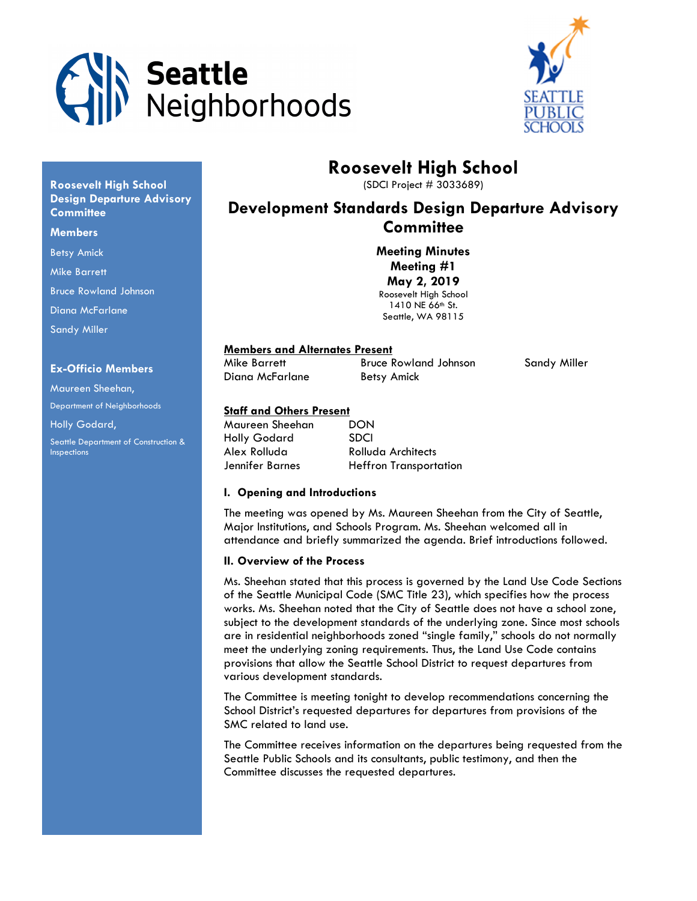



# Roosevelt High School

(SDCI Project # 3033689)

## Development Standards Design Departure Advisory **Committee**

Meeting Minutes Meeting #1 May 2, 2019 Roosevelt High School 1410 NE 66<sup>th</sup> St. Seattle, WA 98115

## Members and Alternates Present

Diana McFarlane Betsy Amick

Mike Barrett Bruce Rowland Johnson Sandy Miller

## Staff and Others Present

| Maureen Sheehan | DON                           |
|-----------------|-------------------------------|
| Holly Godard    | <b>SDCI</b>                   |
| Alex Rolluda    | Rolluda Architects            |
| Jennifer Barnes | <b>Heffron Transportation</b> |

## I. Opening and Introductions

The meeting was opened by Ms. Maureen Sheehan from the City of Seattle, Major Institutions, and Schools Program. Ms. Sheehan welcomed all in attendance and briefly summarized the agenda. Brief introductions followed.

## II. Overview of the Process

Ms. Sheehan stated that this process is governed by the Land Use Code Sections of the Seattle Municipal Code (SMC Title 23), which specifies how the process works. Ms. Sheehan noted that the City of Seattle does not have a school zone, subject to the development standards of the underlying zone. Since most schools are in residential neighborhoods zoned "single family," schools do not normally meet the underlying zoning requirements. Thus, the Land Use Code contains provisions that allow the Seattle School District to request departures from various development standards.

The Committee is meeting tonight to develop recommendations concerning the School District's requested departures for departures from provisions of the SMC related to land use.

The Committee receives information on the departures being requested from the Seattle Public Schools and its consultants, public testimony, and then the Committee discusses the requested departures.

## Roosevelt High School Design Departure Advisory **Committee**

#### **Members**

Betsy Amick

Mike Barrett

Bruce Rowland Johnson

Diana McFarlane

Sandy Miller

## Ex-Officio Members

Maureen Sheehan, Department of Neighborhoods Holly Godard, Seattle Department of Construction & Inspections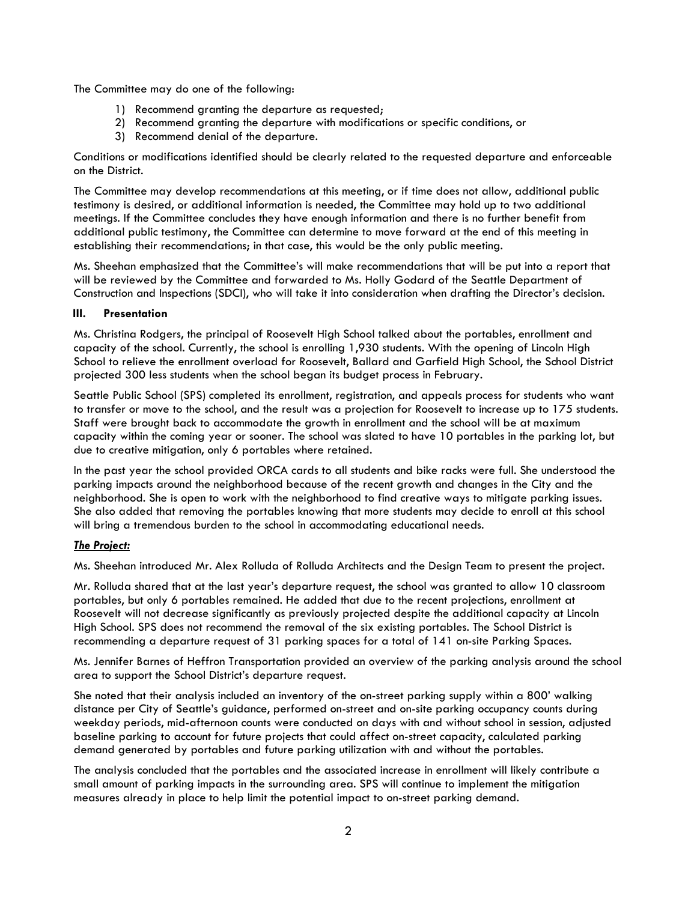The Committee may do one of the following:

- 1) Recommend granting the departure as requested;
- 2) Recommend granting the departure with modifications or specific conditions, or
- 3) Recommend denial of the departure.

Conditions or modifications identified should be clearly related to the requested departure and enforceable on the District.

The Committee may develop recommendations at this meeting, or if time does not allow, additional public testimony is desired, or additional information is needed, the Committee may hold up to two additional meetings. If the Committee concludes they have enough information and there is no further benefit from additional public testimony, the Committee can determine to move forward at the end of this meeting in establishing their recommendations; in that case, this would be the only public meeting.

Ms. Sheehan emphasized that the Committee's will make recommendations that will be put into a report that will be reviewed by the Committee and forwarded to Ms. Holly Godard of the Seattle Department of Construction and Inspections (SDCI), who will take it into consideration when drafting the Director's decision.

## III. Presentation

Ms. Christina Rodgers, the principal of Roosevelt High School talked about the portables, enrollment and capacity of the school. Currently, the school is enrolling 1,930 students. With the opening of Lincoln High School to relieve the enrollment overload for Roosevelt, Ballard and Garfield High School, the School District projected 300 less students when the school began its budget process in February.

Seattle Public School (SPS) completed its enrollment, registration, and appeals process for students who want to transfer or move to the school, and the result was a projection for Roosevelt to increase up to 175 students. Staff were brought back to accommodate the growth in enrollment and the school will be at maximum capacity within the coming year or sooner. The school was slated to have 10 portables in the parking lot, but due to creative mitigation, only 6 portables where retained.

In the past year the school provided ORCA cards to all students and bike racks were full. She understood the parking impacts around the neighborhood because of the recent growth and changes in the City and the neighborhood. She is open to work with the neighborhood to find creative ways to mitigate parking issues. She also added that removing the portables knowing that more students may decide to enroll at this school will bring a tremendous burden to the school in accommodating educational needs.

## The Project:

Ms. Sheehan introduced Mr. Alex Rolluda of Rolluda Architects and the Design Team to present the project.

Mr. Rolluda shared that at the last year's departure request, the school was granted to allow 10 classroom portables, but only 6 portables remained. He added that due to the recent projections, enrollment at Roosevelt will not decrease significantly as previously projected despite the additional capacity at Lincoln High School. SPS does not recommend the removal of the six existing portables. The School District is recommending a departure request of 31 parking spaces for a total of 141 on-site Parking Spaces.

Ms. Jennifer Barnes of Heffron Transportation provided an overview of the parking analysis around the school area to support the School District's departure request.

She noted that their analysis included an inventory of the on-street parking supply within a 800' walking distance per City of Seattle's guidance, performed on-street and on-site parking occupancy counts during weekday periods, mid-afternoon counts were conducted on days with and without school in session, adjusted baseline parking to account for future projects that could affect on-street capacity, calculated parking demand generated by portables and future parking utilization with and without the portables.

The analysis concluded that the portables and the associated increase in enrollment will likely contribute a small amount of parking impacts in the surrounding area. SPS will continue to implement the mitigation measures already in place to help limit the potential impact to on-street parking demand.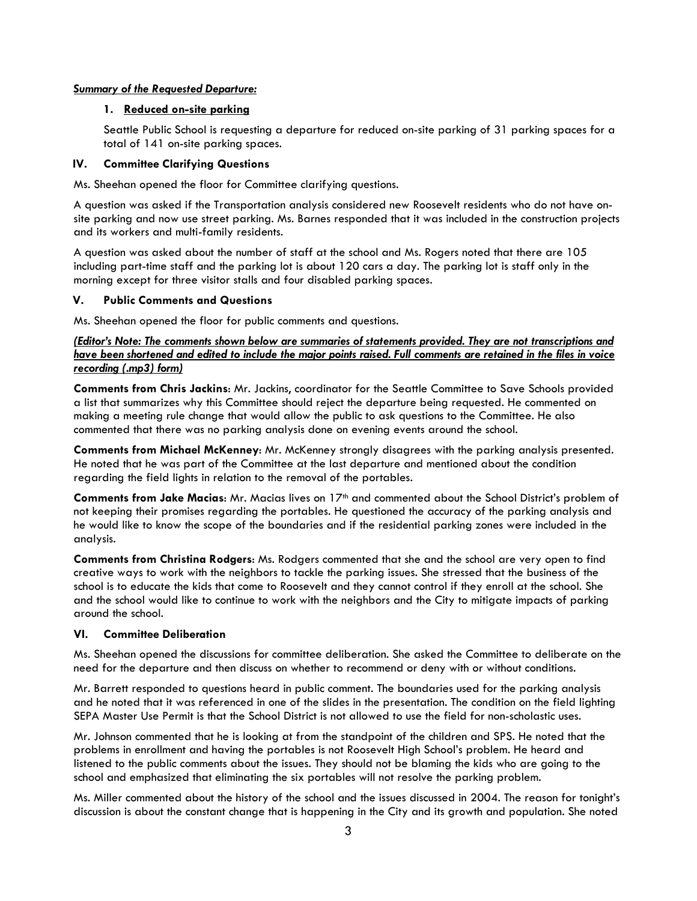#### Summary of the Requested Departure:

## 1. Reduced on-site parking

Seattle Public School is requesting a departure for reduced on-site parking of 31 parking spaces for a total of 141 on-site parking spaces.

#### IV. Committee Clarifying Questions

Ms. Sheehan opened the floor for Committee clarifying questions.

A question was asked if the Transportation analysis considered new Roosevelt residents who do not have onsite parking and now use street parking. Ms. Barnes responded that it was included in the construction projects and its workers and multi-family residents.

A question was asked about the number of staff at the school and Ms. Rogers noted that there are 105 including part-time staff and the parking lot is about 120 cars a day. The parking lot is staff only in the morning except for three visitor stalls and four disabled parking spaces.

## V. Public Comments and Questions

Ms. Sheehan opened the floor for public comments and questions.

(Editor's Note: The comments shown below are summaries of statements provided. They are not transcriptions and have been shortened and edited to include the major points raised. Full comments are retained in the files in voice recording (.mp3) form)

Comments from Chris Jackins: Mr. Jackins, coordinator for the Seattle Committee to Save Schools provided a list that summarizes why this Committee should reject the departure being requested. He commented on making a meeting rule change that would allow the public to ask questions to the Committee. He also commented that there was no parking analysis done on evening events around the school.

Comments from Michael McKenney: Mr. McKenney strongly disagrees with the parking analysis presented. He noted that he was part of the Committee at the last departure and mentioned about the condition regarding the field lights in relation to the removal of the portables.

**Comments from Jake Macias:** Mr. Macias lives on  $17<sup>th</sup>$  and commented about the School District's problem of not keeping their promises regarding the portables. He questioned the accuracy of the parking analysis and he would like to know the scope of the boundaries and if the residential parking zones were included in the analysis.

Comments from Christina Rodgers: Ms. Rodgers commented that she and the school are very open to find creative ways to work with the neighbors to tackle the parking issues. She stressed that the business of the school is to educate the kids that come to Roosevelt and they cannot control if they enroll at the school. She and the school would like to continue to work with the neighbors and the City to mitigate impacts of parking around the school.

## VI. Committee Deliberation

Ms. Sheehan opened the discussions for committee deliberation. She asked the Committee to deliberate on the need for the departure and then discuss on whether to recommend or deny with or without conditions.

Mr. Barrett responded to questions heard in public comment. The boundaries used for the parking analysis and he noted that it was referenced in one of the slides in the presentation. The condition on the field lighting SEPA Master Use Permit is that the School District is not allowed to use the field for non-scholastic uses.

Mr. Johnson commented that he is looking at from the standpoint of the children and SPS. He noted that the problems in enrollment and having the portables is not Roosevelt High School's problem. He heard and listened to the public comments about the issues. They should not be blaming the kids who are going to the school and emphasized that eliminating the six portables will not resolve the parking problem.

Ms. Miller commented about the history of the school and the issues discussed in 2004. The reason for tonight's discussion is about the constant change that is happening in the City and its growth and population. She noted